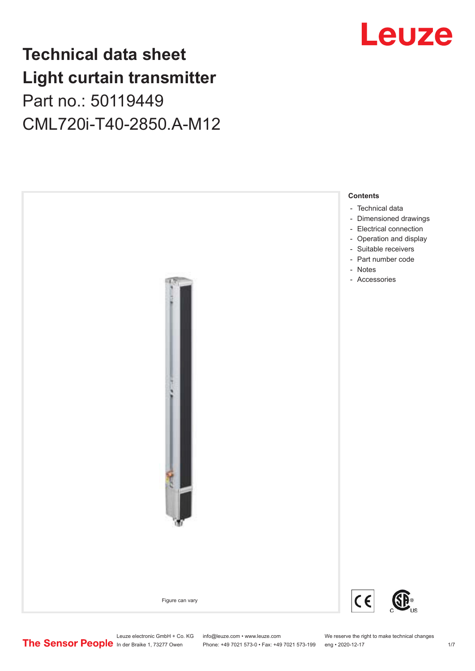## **Technical data sheet Light curtain transmitter** Part no.: 50119449 CML720i-T40-2850.A-M12



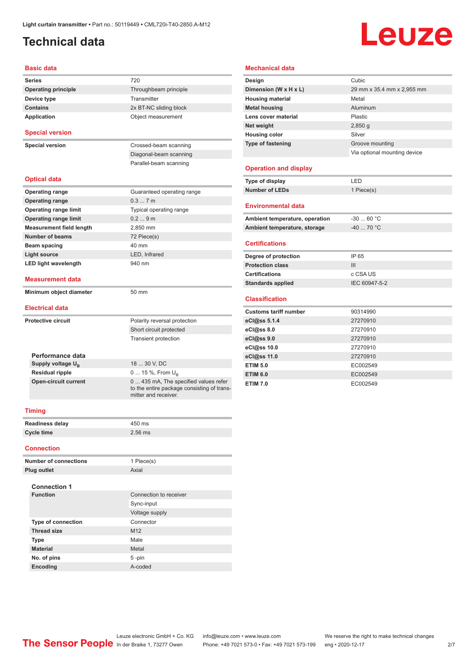## <span id="page-1-0"></span>**Technical data**

# Leuze

#### **Basic data**

| Series                          | 720                                                                                 |  |  |
|---------------------------------|-------------------------------------------------------------------------------------|--|--|
| <b>Operating principle</b>      | Throughbeam principle                                                               |  |  |
| Device type                     | Transmitter                                                                         |  |  |
| <b>Contains</b>                 | 2x BT-NC sliding block                                                              |  |  |
| <b>Application</b>              | Object measurement                                                                  |  |  |
| <b>Special version</b>          |                                                                                     |  |  |
| <b>Special version</b>          | Crossed-beam scanning                                                               |  |  |
|                                 | Diagonal-beam scanning                                                              |  |  |
|                                 | Parallel-beam scanning                                                              |  |  |
| <b>Optical data</b>             |                                                                                     |  |  |
| <b>Operating range</b>          | Guaranteed operating range                                                          |  |  |
| <b>Operating range</b>          | 0.37m                                                                               |  |  |
| <b>Operating range limit</b>    | Typical operating range                                                             |  |  |
| <b>Operating range limit</b>    | 0.29m                                                                               |  |  |
| <b>Measurement field length</b> | 2,850 mm                                                                            |  |  |
| <b>Number of beams</b>          | 72 Piece(s)                                                                         |  |  |
| Beam spacing                    | 40 mm                                                                               |  |  |
| <b>Light source</b>             | LED, Infrared                                                                       |  |  |
| <b>LED light wavelength</b>     | 940 nm                                                                              |  |  |
| <b>Measurement data</b>         |                                                                                     |  |  |
| Minimum object diameter         | 50 mm                                                                               |  |  |
| <b>Electrical data</b>          |                                                                                     |  |  |
| <b>Protective circuit</b>       | Polarity reversal protection                                                        |  |  |
|                                 | Short circuit protected                                                             |  |  |
|                                 | <b>Transient protection</b>                                                         |  |  |
| Performance data                |                                                                                     |  |  |
| Supply voltage U <sub>B</sub>   | 18  30 V, DC                                                                        |  |  |
| <b>Residual ripple</b>          | 0  15 %, From U <sub>p</sub>                                                        |  |  |
| <b>Open-circuit current</b>     | 0  435 mA, The specified values refer<br>to the entire package consisting of trans- |  |  |

#### **Mechanical data**

| Design                         | Cubic                        |  |
|--------------------------------|------------------------------|--|
| Dimension (W x H x L)          | 29 mm x 35.4 mm x 2,955 mm   |  |
| <b>Housing material</b>        | Metal                        |  |
| <b>Metal housing</b>           | Aluminum                     |  |
| Lens cover material            | Plastic                      |  |
| Net weight                     | 2,850q                       |  |
| <b>Housing color</b>           | Silver                       |  |
| <b>Type of fastening</b>       | Groove mounting              |  |
|                                | Via optional mounting device |  |
| <b>Operation and display</b>   |                              |  |
| Type of display                | LED                          |  |
| <b>Number of LEDs</b>          | 1 Piece(s)                   |  |
| <b>Environmental data</b>      |                              |  |
| Ambient temperature, operation | $-30$ 60 °C                  |  |

#### **Certifications**

| IP 65         |
|---------------|
| Ш             |
| c CSA US      |
| IEC 60947-5-2 |
|               |

Ambient temperature, storage **-40 ...** 70 °C

#### **Classification**

| <b>Customs tariff number</b> | 90314990 |
|------------------------------|----------|
| eCl@ss 5.1.4                 | 27270910 |
| eCl@ss 8.0                   | 27270910 |
| eCl@ss 9.0                   | 27270910 |
| eCl@ss 10.0                  | 27270910 |
| eCl@ss 11.0                  | 27270910 |
| <b>ETIM 5.0</b>              | EC002549 |
| <b>ETIM 6.0</b>              | EC002549 |
| <b>ETIM 7.0</b>              | EC002549 |

#### **Timing**

| <b>Readiness delay</b> | 450 ms    |
|------------------------|-----------|
| Cycle time             | $2.56$ ms |

mitter and receiver.

#### **Connection**

| <b>Number of connections</b> | 1 Piece(s)             |  |
|------------------------------|------------------------|--|
| <b>Plug outlet</b>           | Axial                  |  |
| <b>Connection 1</b>          |                        |  |
| <b>Function</b>              | Connection to receiver |  |
|                              | Sync-input             |  |
|                              | Voltage supply         |  |
| <b>Type of connection</b>    | Connector              |  |
| <b>Thread size</b>           | M <sub>12</sub>        |  |
| <b>Type</b>                  | Male                   |  |
| <b>Material</b>              | Metal                  |  |
| No. of pins                  | $5 - pin$              |  |
| Encoding                     | A-coded                |  |
|                              |                        |  |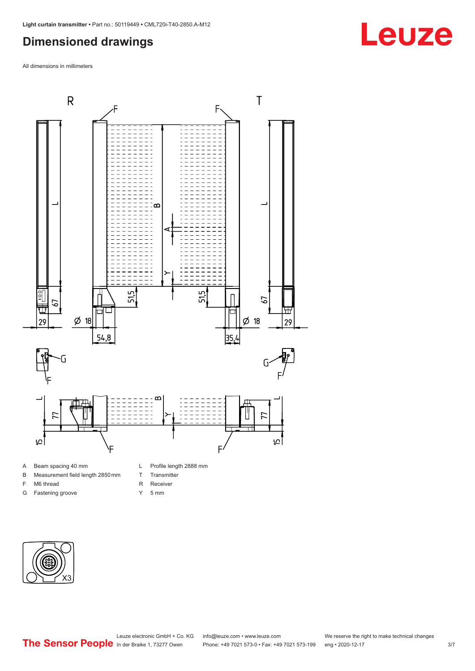## <span id="page-2-0"></span>**Dimensioned drawings**

All dimensions in millimeters



#### A Beam spacing 40 mm

- B Measurement field length 2850 mm
- F M6 thread
- G Fastening groove
- Y 5 mm

T Transmitter R Receiver



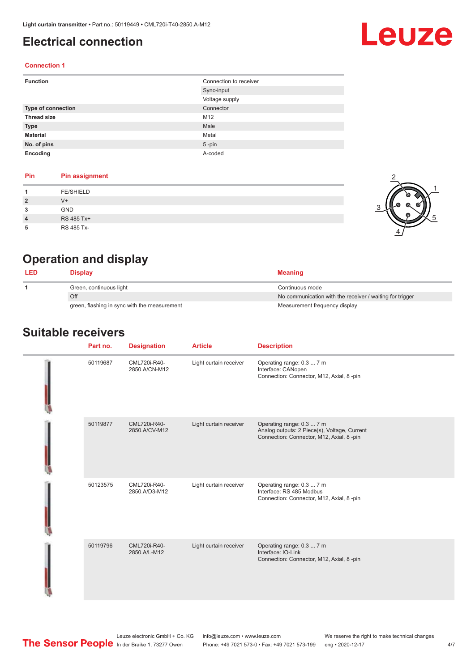### <span id="page-3-0"></span>**Electrical connection**

## Leuze

2

1

5

#### **Connection 1**

| <b>Function</b>    | Connection to receiver |
|--------------------|------------------------|
|                    | Sync-input             |
|                    | Voltage supply         |
| Type of connection | Connector              |
| <b>Thread size</b> | M12                    |
| <b>Type</b>        | Male                   |
| <b>Material</b>    | Metal                  |
| No. of pins        | $5$ -pin               |
| Encoding           | A-coded                |

#### **Pin Pin assignment**

|                | <b>FE/SHIELD</b> |     |
|----------------|------------------|-----|
| $\overline{2}$ | $V +$            | - 6 |
| 3              | GND              |     |
| $\overline{4}$ | RS 485 Tx+       | 67  |
| 5              | RS 485 Tx-       | 4   |

## **Operation and display**

| <b>LED</b> | Display                                      | <b>Meaning</b>                                           |
|------------|----------------------------------------------|----------------------------------------------------------|
|            | Green, continuous light                      | Continuous mode                                          |
|            | Off                                          | No communication with the receiver / waiting for trigger |
|            | green, flashing in sync with the measurement | Measurement frequency display                            |

#### **Suitable receivers**

| Part no. | <b>Designation</b>            | <b>Article</b>         | <b>Description</b>                                                                                                     |
|----------|-------------------------------|------------------------|------------------------------------------------------------------------------------------------------------------------|
| 50119687 | CML720i-R40-<br>2850.A/CN-M12 | Light curtain receiver | Operating range: 0.3  7 m<br>Interface: CANopen<br>Connection: Connector, M12, Axial, 8 -pin                           |
| 50119877 | CML720i-R40-<br>2850.A/CV-M12 | Light curtain receiver | Operating range: 0.3  7 m<br>Analog outputs: 2 Piece(s), Voltage, Current<br>Connection: Connector, M12, Axial, 8 -pin |
| 50123575 | CML720i-R40-<br>2850.A/D3-M12 | Light curtain receiver | Operating range: 0.3  7 m<br>Interface: RS 485 Modbus<br>Connection: Connector, M12, Axial, 8 -pin                     |
| 50119796 | CML720i-R40-<br>2850.A/L-M12  | Light curtain receiver | Operating range: 0.3  7 m<br>Interface: IO-Link<br>Connection: Connector, M12, Axial, 8 -pin                           |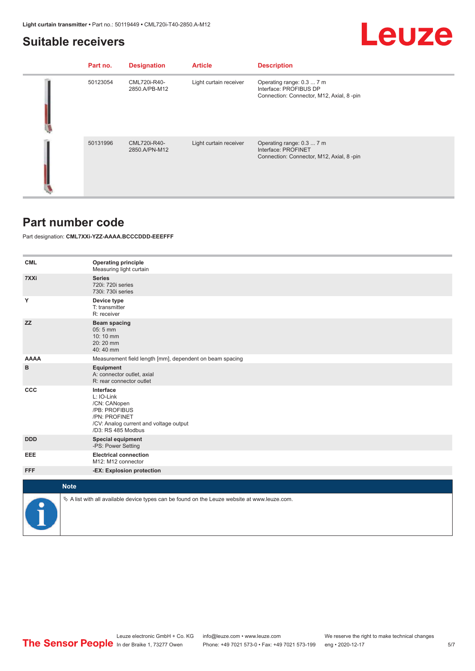#### <span id="page-4-0"></span>**Suitable receivers**

## Leuze

| Part no. | <b>Designation</b>            | <b>Article</b>         | <b>Description</b>                                                                              |
|----------|-------------------------------|------------------------|-------------------------------------------------------------------------------------------------|
| 50123054 | CML720i-R40-<br>2850.A/PB-M12 | Light curtain receiver | Operating range: 0.3  7 m<br>Interface: PROFIBUS DP<br>Connection: Connector, M12, Axial, 8-pin |
| 50131996 | CML720i-R40-<br>2850.A/PN-M12 | Light curtain receiver | Operating range: 0.3  7 m<br>Interface: PROFINET<br>Connection: Connector, M12, Axial, 8-pin    |

#### **Part number code**

Part designation: **CML7XXi-YZZ-AAAA.BCCCDDD-EEEFFF**

| <b>CML</b>  | <b>Operating principle</b><br>Measuring light curtain                                                                                     |
|-------------|-------------------------------------------------------------------------------------------------------------------------------------------|
| 7XXi        | <b>Series</b><br>720i: 720i series<br>730i: 730i series                                                                                   |
| Υ           | Device type<br>T: transmitter<br>R: receiver                                                                                              |
| <b>ZZ</b>   | Beam spacing<br>$05:5$ mm<br>10:10 mm<br>20:20 mm<br>40:40 mm                                                                             |
| <b>AAAA</b> | Measurement field length [mm], dependent on beam spacing                                                                                  |
| в           | Equipment<br>A: connector outlet, axial<br>R: rear connector outlet                                                                       |
| <b>CCC</b>  | Interface<br>L: IO-Link<br>/CN: CANopen<br>/PB: PROFIBUS<br>/PN: PROFINET<br>/CV: Analog current and voltage output<br>/D3: RS 485 Modbus |
| <b>DDD</b>  | <b>Special equipment</b><br>-PS: Power Setting                                                                                            |
| EEE         | <b>Electrical connection</b><br>M12: M12 connector                                                                                        |
| <b>FFF</b>  | -EX: Explosion protection                                                                                                                 |
| <b>Note</b> |                                                                                                                                           |
|             |                                                                                                                                           |
|             | $\&$ A list with all available device types can be found on the Leuze website at www.leuze.com.                                           |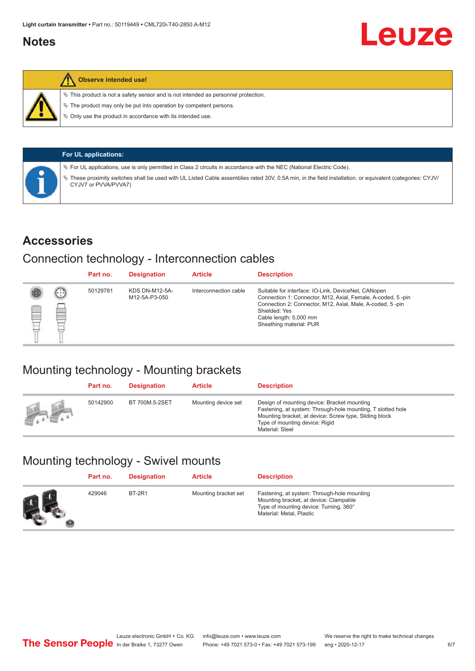### <span id="page-5-0"></span>**Notes**



#### **Observe intended use!**

 $\%$  This product is not a safety sensor and is not intended as personnel protection.

 $\%$  The product may only be put into operation by competent persons.

 $\%$  Only use the product in accordance with its intended use.

| <b>For UL applications:</b>                                                                                                                                                       |
|-----------------------------------------------------------------------------------------------------------------------------------------------------------------------------------|
| Ve For UL applications, use is only permitted in Class 2 circuits in accordance with the NEC (National Electric Code).                                                            |
| V These proximity switches shall be used with UL Listed Cable assemblies rated 30V, 0.5A min, in the field installation, or equivalent (categories: CYJV/<br>CYJV7 or PVVA/PVVA7) |

#### **Accessories**

### Connection technology - Interconnection cables

|   |        | Part no. | <b>Designation</b>                     | <b>Article</b>        | <b>Description</b>                                                                                                                                                                                                                                    |
|---|--------|----------|----------------------------------------|-----------------------|-------------------------------------------------------------------------------------------------------------------------------------------------------------------------------------------------------------------------------------------------------|
| 國 | ⊕<br>œ | 50129781 | <b>KDS DN-M12-5A-</b><br>M12-5A-P3-050 | Interconnection cable | Suitable for interface: IO-Link, DeviceNet, CANopen<br>Connection 1: Connector, M12, Axial, Female, A-coded, 5-pin<br>Connection 2: Connector, M12, Axial, Male, A-coded, 5-pin<br>Shielded: Yes<br>Cable length: 5,000 mm<br>Sheathing material: PUR |

## Mounting technology - Mounting brackets

|               | Part no. | <b>Designation</b> | <b>Article</b>      | <b>Description</b>                                                                                                                                                                                                        |
|---------------|----------|--------------------|---------------------|---------------------------------------------------------------------------------------------------------------------------------------------------------------------------------------------------------------------------|
| <b>Altres</b> | 50142900 | BT 700M.5-2SET     | Mounting device set | Design of mounting device: Bracket mounting<br>Fastening, at system: Through-hole mounting, T slotted hole<br>Mounting bracket, at device: Screw type, Sliding block<br>Type of mounting device: Rigid<br>Material: Steel |

## Mounting technology - Swivel mounts

| Part no. | <b>Designation</b> | <b>Article</b>       | <b>Description</b>                                                                                                                                          |
|----------|--------------------|----------------------|-------------------------------------------------------------------------------------------------------------------------------------------------------------|
| 429046   | <b>BT-2R1</b>      | Mounting bracket set | Fastening, at system: Through-hole mounting<br>Mounting bracket, at device: Clampable<br>Type of mounting device: Turning, 360°<br>Material: Metal, Plastic |

Leuze